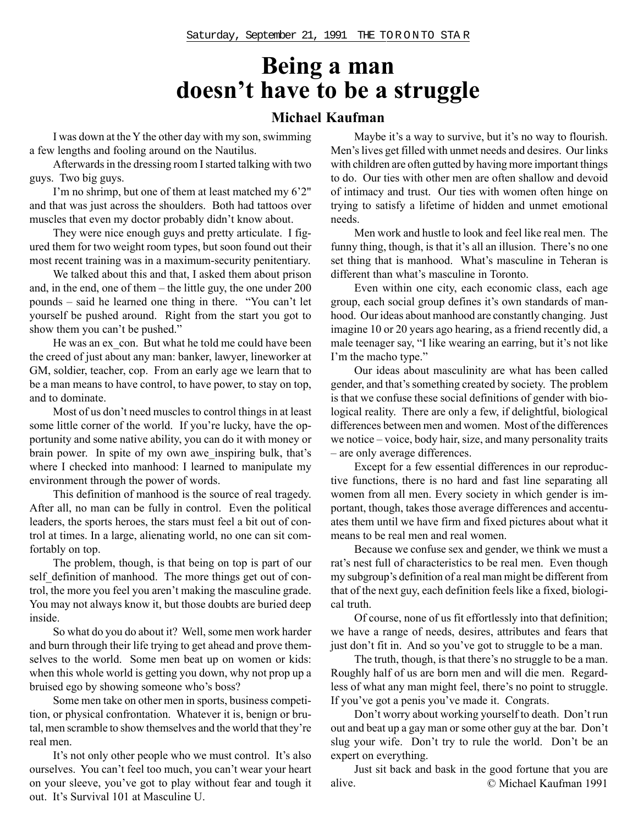## **Being a man doesn't have to be a struggle**

#### **Michael Kaufman**

I was down at the Y the other day with my son, swimming a few lengths and fooling around on the Nautilus.

Afterwards in the dressing room I started talking with two guys. Two big guys.

I'm no shrimp, but one of them at least matched my 6'2" and that was just across the shoulders. Both had tattoos over muscles that even my doctor probably didn't know about.

They were nice enough guys and pretty articulate. I figured them for two weight room types, but soon found out their most recent training was in a maximum-security penitentiary.

We talked about this and that, I asked them about prison and, in the end, one of them – the little guy, the one under 200 pounds – said he learned one thing in there. "You can't let yourself be pushed around. Right from the start you got to show them you can't be pushed."

He was an ex\_con. But what he told me could have been the creed of just about any man: banker, lawyer, lineworker at GM, soldier, teacher, cop. From an early age we learn that to be a man means to have control, to have power, to stay on top, and to dominate.

Most of us don't need muscles to control things in at least some little corner of the world. If you're lucky, have the opportunity and some native ability, you can do it with money or brain power. In spite of my own awe\_inspiring bulk, that's where I checked into manhood: I learned to manipulate my environment through the power of words.

This definition of manhood is the source of real tragedy. After all, no man can be fully in control. Even the political leaders, the sports heroes, the stars must feel a bit out of control at times. In a large, alienating world, no one can sit comfortably on top.

The problem, though, is that being on top is part of our self definition of manhood. The more things get out of control, the more you feel you aren't making the masculine grade. You may not always know it, but those doubts are buried deep inside.

So what do you do about it? Well, some men work harder and burn through their life trying to get ahead and prove themselves to the world. Some men beat up on women or kids: when this whole world is getting you down, why not prop up a bruised ego by showing someone who's boss?

Some men take on other men in sports, business competition, or physical confrontation. Whatever it is, benign or brutal, men scramble to show themselves and the world that they're real men.

It's not only other people who we must control. It's also ourselves. You can't feel too much, you can't wear your heart on your sleeve, you've got to play without fear and tough it out. It's Survival 101 at Masculine U.

Maybe it's a way to survive, but it's no way to flourish. Men's lives get filled with unmet needs and desires. Our links with children are often gutted by having more important things to do. Our ties with other men are often shallow and devoid of intimacy and trust. Our ties with women often hinge on trying to satisfy a lifetime of hidden and unmet emotional needs.

Men work and hustle to look and feel like real men. The funny thing, though, is that it's all an illusion. There's no one set thing that is manhood. What's masculine in Teheran is different than what's masculine in Toronto.

Even within one city, each economic class, each age group, each social group defines it's own standards of manhood. Our ideas about manhood are constantly changing. Just imagine 10 or 20 years ago hearing, as a friend recently did, a male teenager say, "I like wearing an earring, but it's not like I'm the macho type."

Our ideas about masculinity are what has been called gender, and that's something created by society. The problem is that we confuse these social definitions of gender with biological reality. There are only a few, if delightful, biological differences between men and women. Most of the differences we notice – voice, body hair, size, and many personality traits – are only average differences.

Except for a few essential differences in our reproductive functions, there is no hard and fast line separating all women from all men. Every society in which gender is important, though, takes those average differences and accentuates them until we have firm and fixed pictures about what it means to be real men and real women.

Because we confuse sex and gender, we think we must a rat's nest full of characteristics to be real men. Even though my subgroup's definition of a real man might be different from that of the next guy, each definition feels like a fixed, biological truth.

Of course, none of us fit effortlessly into that definition; we have a range of needs, desires, attributes and fears that just don't fit in. And so you've got to struggle to be a man.

The truth, though, is that there's no struggle to be a man. Roughly half of us are born men and will die men. Regardless of what any man might feel, there's no point to struggle. If you've got a penis you've made it. Congrats.

Don't worry about working yourself to death. Don't run out and beat up a gay man or some other guy at the bar. Don't slug your wife. Don't try to rule the world. Don't be an expert on everything.

Just sit back and bask in the good fortune that you are alive. © Michael Kaufman 1991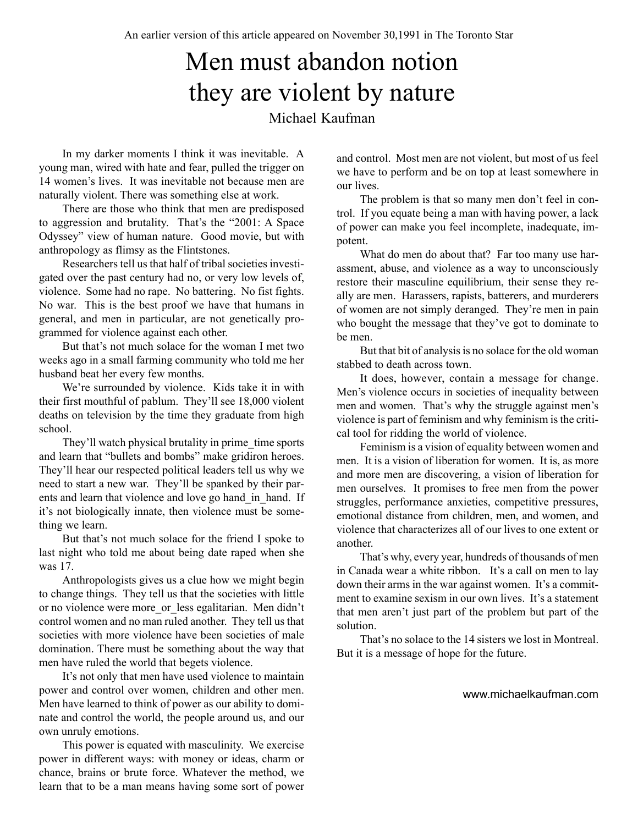# Men must abandon notion they are violent by nature

#### Michael Kaufman

In my darker moments I think it was inevitable. A young man, wired with hate and fear, pulled the trigger on 14 women's lives. It was inevitable not because men are naturally violent. There was something else at work.

There are those who think that men are predisposed to aggression and brutality. That's the "2001: A Space Odyssey" view of human nature. Good movie, but with anthropology as flimsy as the Flintstones.

Researchers tell us that half of tribal societies investigated over the past century had no, or very low levels of, violence. Some had no rape. No battering. No fist fights. No war. This is the best proof we have that humans in general, and men in particular, are not genetically programmed for violence against each other.

But that's not much solace for the woman I met two weeks ago in a small farming community who told me her husband beat her every few months.

We're surrounded by violence. Kids take it in with their first mouthful of pablum. They'll see 18,000 violent deaths on television by the time they graduate from high school.

They'll watch physical brutality in prime\_time sports and learn that "bullets and bombs" make gridiron heroes. They'll hear our respected political leaders tell us why we need to start a new war. They'll be spanked by their parents and learn that violence and love go hand in hand. If it's not biologically innate, then violence must be something we learn.

But that's not much solace for the friend I spoke to last night who told me about being date raped when she was 17.

Anthropologists gives us a clue how we might begin to change things. They tell us that the societies with little or no violence were more or less egalitarian. Men didn't control women and no man ruled another. They tell us that societies with more violence have been societies of male domination. There must be something about the way that men have ruled the world that begets violence.

It's not only that men have used violence to maintain power and control over women, children and other men. Men have learned to think of power as our ability to dominate and control the world, the people around us, and our own unruly emotions.

This power is equated with masculinity. We exercise power in different ways: with money or ideas, charm or chance, brains or brute force. Whatever the method, we learn that to be a man means having some sort of power

and control. Most men are not violent, but most of us feel we have to perform and be on top at least somewhere in our lives.

The problem is that so many men don't feel in control. If you equate being a man with having power, a lack of power can make you feel incomplete, inadequate, impotent.

What do men do about that? Far too many use harassment, abuse, and violence as a way to unconsciously restore their masculine equilibrium, their sense they really are men. Harassers, rapists, batterers, and murderers of women are not simply deranged. They're men in pain who bought the message that they've got to dominate to be men.

But that bit of analysis is no solace for the old woman stabbed to death across town.

It does, however, contain a message for change. Men's violence occurs in societies of inequality between men and women. That's why the struggle against men's violence is part of feminism and why feminism is the critical tool for ridding the world of violence.

Feminism is a vision of equality between women and men. It is a vision of liberation for women. It is, as more and more men are discovering, a vision of liberation for men ourselves. It promises to free men from the power struggles, performance anxieties, competitive pressures, emotional distance from children, men, and women, and violence that characterizes all of our lives to one extent or another.

That's why, every year, hundreds of thousands of men in Canada wear a white ribbon. It's a call on men to lay down their arms in the war against women. It's a commitment to examine sexism in our own lives. It's a statement that men aren't just part of the problem but part of the solution.

That's no solace to the 14 sisters we lost in Montreal. But it is a message of hope for the future.

www.michaelkaufman.com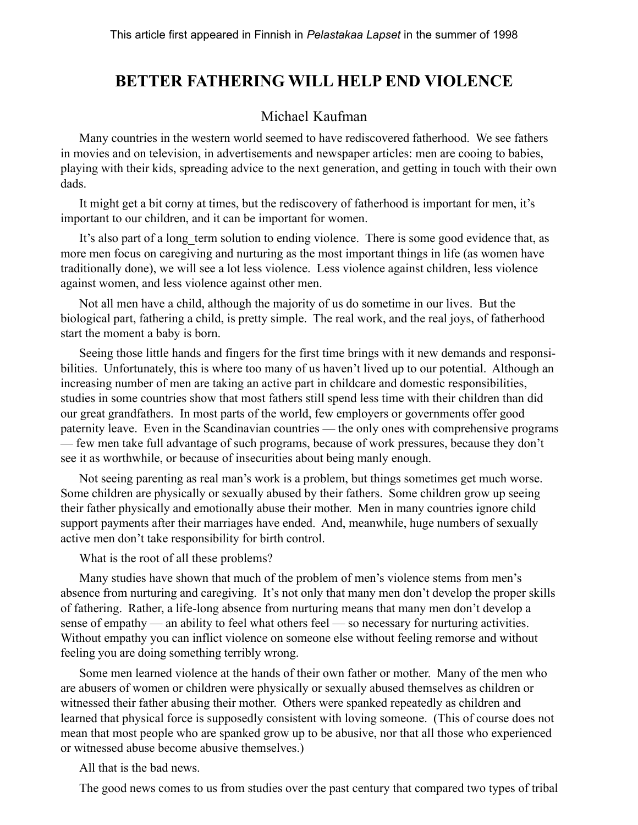### **BETTER FATHERING WILL HELP END VIOLENCE**

#### Michael Kaufman

Many countries in the western world seemed to have rediscovered fatherhood. We see fathers in movies and on television, in advertisements and newspaper articles: men are cooing to babies, playing with their kids, spreading advice to the next generation, and getting in touch with their own dads.

It might get a bit corny at times, but the rediscovery of fatherhood is important for men, it's important to our children, and it can be important for women.

It's also part of a long term solution to ending violence. There is some good evidence that, as more men focus on caregiving and nurturing as the most important things in life (as women have traditionally done), we will see a lot less violence. Less violence against children, less violence against women, and less violence against other men.

Not all men have a child, although the majority of us do sometime in our lives. But the biological part, fathering a child, is pretty simple. The real work, and the real joys, of fatherhood start the moment a baby is born.

Seeing those little hands and fingers for the first time brings with it new demands and responsibilities. Unfortunately, this is where too many of us haven't lived up to our potential. Although an increasing number of men are taking an active part in childcare and domestic responsibilities, studies in some countries show that most fathers still spend less time with their children than did our great grandfathers. In most parts of the world, few employers or governments offer good paternity leave. Even in the Scandinavian countries — the only ones with comprehensive programs — few men take full advantage of such programs, because of work pressures, because they don't see it as worthwhile, or because of insecurities about being manly enough.

Not seeing parenting as real man's work is a problem, but things sometimes get much worse. Some children are physically or sexually abused by their fathers. Some children grow up seeing their father physically and emotionally abuse their mother. Men in many countries ignore child support payments after their marriages have ended. And, meanwhile, huge numbers of sexually active men don't take responsibility for birth control.

What is the root of all these problems?

Many studies have shown that much of the problem of men's violence stems from men's absence from nurturing and caregiving. It's not only that many men don't develop the proper skills of fathering. Rather, a life-long absence from nurturing means that many men don't develop a sense of empathy — an ability to feel what others feel — so necessary for nurturing activities. Without empathy you can inflict violence on someone else without feeling remorse and without feeling you are doing something terribly wrong.

Some men learned violence at the hands of their own father or mother. Many of the men who are abusers of women or children were physically or sexually abused themselves as children or witnessed their father abusing their mother. Others were spanked repeatedly as children and learned that physical force is supposedly consistent with loving someone. (This of course does not mean that most people who are spanked grow up to be abusive, nor that all those who experienced or witnessed abuse become abusive themselves.)

All that is the bad news.

The good news comes to us from studies over the past century that compared two types of tribal